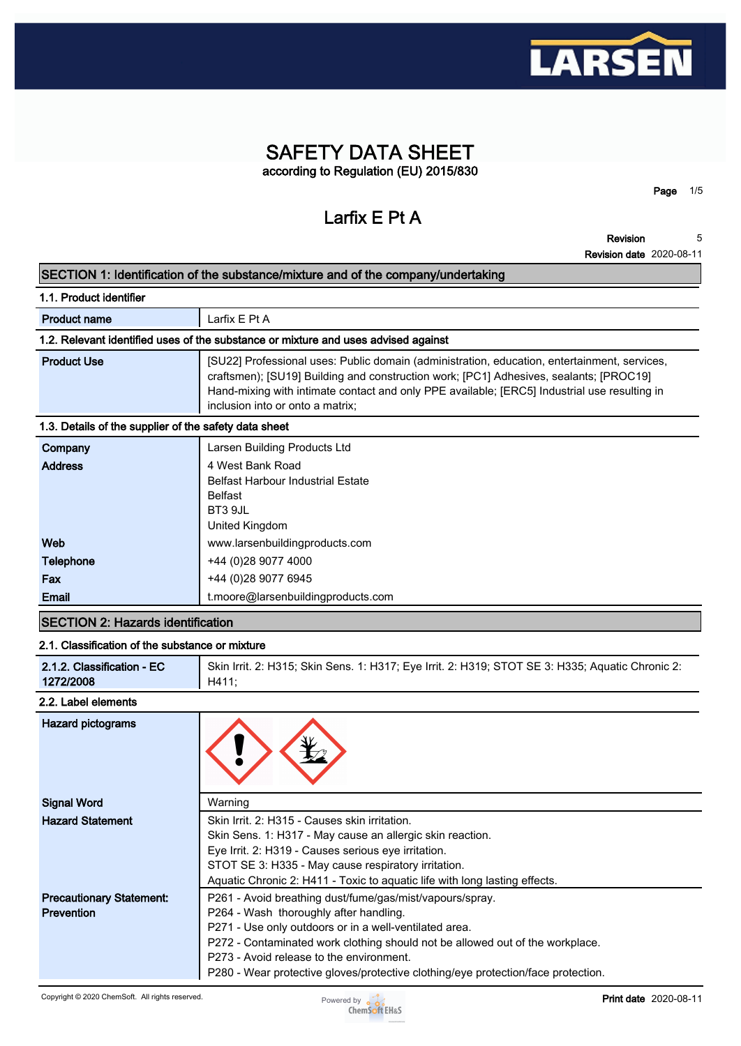

# **SAFETY DATA SHEET according to Regulation (EU) 2015/830**

**Larfix E Pt A**

**Revision 5**

**Page 1/5**

**Revision date 2020-08-11**

## **SECTION 1: Identification of the substance/mixture and of the company/undertaking**

| 1.1. Product identifier                               |                                                                                                                                                                                                                                                                                                                            |  |  |
|-------------------------------------------------------|----------------------------------------------------------------------------------------------------------------------------------------------------------------------------------------------------------------------------------------------------------------------------------------------------------------------------|--|--|
| <b>Product name</b>                                   | Larfix E Pt A                                                                                                                                                                                                                                                                                                              |  |  |
|                                                       | 1.2. Relevant identified uses of the substance or mixture and uses advised against                                                                                                                                                                                                                                         |  |  |
| <b>Product Use</b>                                    | [SU22] Professional uses: Public domain (administration, education, entertainment, services,<br>craftsmen); [SU19] Building and construction work; [PC1] Adhesives, sealants; [PROC19]<br>Hand-mixing with intimate contact and only PPE available; [ERC5] Industrial use resulting in<br>inclusion into or onto a matrix; |  |  |
| 1.3. Details of the supplier of the safety data sheet |                                                                                                                                                                                                                                                                                                                            |  |  |
| Company                                               | Larsen Building Products Ltd                                                                                                                                                                                                                                                                                               |  |  |
| <b>Address</b>                                        | 4 West Bank Road                                                                                                                                                                                                                                                                                                           |  |  |
|                                                       | <b>Belfast Harbour Industrial Estate</b>                                                                                                                                                                                                                                                                                   |  |  |
|                                                       | <b>Belfast</b>                                                                                                                                                                                                                                                                                                             |  |  |
|                                                       | BT3 9JL                                                                                                                                                                                                                                                                                                                    |  |  |
|                                                       | United Kingdom                                                                                                                                                                                                                                                                                                             |  |  |
| Web                                                   | www.larsenbuildingproducts.com                                                                                                                                                                                                                                                                                             |  |  |
| Telephone                                             | +44 (0) 28 9077 4000                                                                                                                                                                                                                                                                                                       |  |  |
| Fax                                                   | +44 (0)28 9077 6945                                                                                                                                                                                                                                                                                                        |  |  |

# **SECTION 2: Hazards identification**

#### **2.1. Classification of the substance or mixture**

**Email t.moore@larsenbuildingproducts.com**

| 2.1.2. Classification - EC | Skin Irrit. 2: H315; Skin Sens. 1: H317; Eye Irrit. 2: H319; STOT SE 3: H335; Aquatic Chronic 2: |  |
|----------------------------|--------------------------------------------------------------------------------------------------|--|
| 1272/2008                  | H411:                                                                                            |  |

#### **2.2. Label elements**

| Hazard pictograms                                    |                                                                                                                                                                                                                                                                                                                                                                                |
|------------------------------------------------------|--------------------------------------------------------------------------------------------------------------------------------------------------------------------------------------------------------------------------------------------------------------------------------------------------------------------------------------------------------------------------------|
| <b>Signal Word</b>                                   | Warning                                                                                                                                                                                                                                                                                                                                                                        |
| <b>Hazard Statement</b>                              | Skin Irrit. 2: H315 - Causes skin irritation.<br>Skin Sens. 1: H317 - May cause an allergic skin reaction.<br>Eye Irrit. 2: H319 - Causes serious eye irritation.<br>STOT SE 3: H335 - May cause respiratory irritation.                                                                                                                                                       |
|                                                      | Aquatic Chronic 2: H411 - Toxic to aquatic life with long lasting effects.                                                                                                                                                                                                                                                                                                     |
| <b>Precautionary Statement:</b><br><b>Prevention</b> | P261 - Avoid breathing dust/fume/gas/mist/vapours/spray.<br>P264 - Wash thoroughly after handling.<br>P271 - Use only outdoors or in a well-ventilated area.<br>P272 - Contaminated work clothing should not be allowed out of the workplace.<br>P273 - Avoid release to the environment.<br>P280 - Wear protective gloves/protective clothing/eye protection/face protection. |

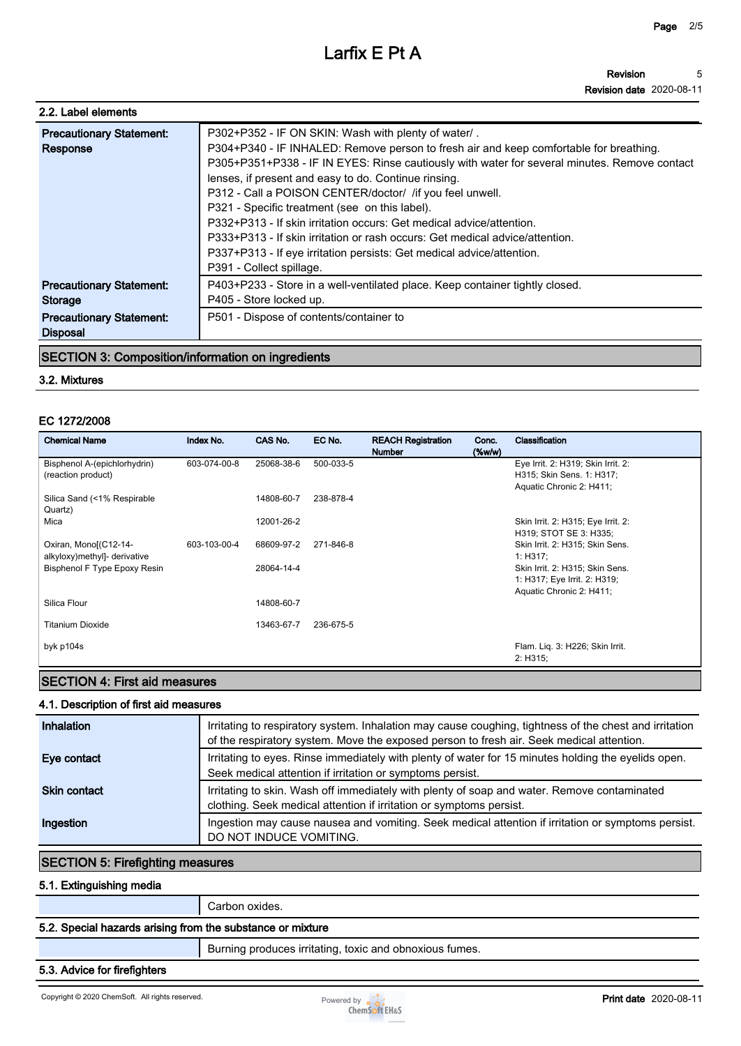**Revision date 2020-08-11**

| 2.2. Label elements                                                                                     |                                                                                                                                                                                                                                                                                                                                                                                                                                                                                                                                                                                                                                                                                   |
|---------------------------------------------------------------------------------------------------------|-----------------------------------------------------------------------------------------------------------------------------------------------------------------------------------------------------------------------------------------------------------------------------------------------------------------------------------------------------------------------------------------------------------------------------------------------------------------------------------------------------------------------------------------------------------------------------------------------------------------------------------------------------------------------------------|
| <b>Precautionary Statement:</b><br>Response                                                             | P302+P352 - IF ON SKIN: Wash with plenty of water/.<br>P304+P340 - IF INHALED: Remove person to fresh air and keep comfortable for breathing.<br>P305+P351+P338 - IF IN EYES: Rinse cautiously with water for several minutes. Remove contact<br>lenses, if present and easy to do. Continue rinsing.<br>P312 - Call a POISON CENTER/doctor/ / if you feel unwell.<br>P321 - Specific treatment (see on this label).<br>P332+P313 - If skin irritation occurs: Get medical advice/attention.<br>P333+P313 - If skin irritation or rash occurs: Get medical advice/attention.<br>P337+P313 - If eye irritation persists: Get medical advice/attention.<br>P391 - Collect spillage. |
| <b>Precautionary Statement:</b><br><b>Storage</b><br><b>Precautionary Statement:</b><br><b>Disposal</b> | P403+P233 - Store in a well-ventilated place. Keep container tightly closed.<br>P405 - Store locked up.<br>P501 - Dispose of contents/container to                                                                                                                                                                                                                                                                                                                                                                                                                                                                                                                                |

# **SECTION 3: Composition/information on ingredients**

#### **3.2. Mixtures**

#### **EC 1272/2008**

| <b>Chemical Name</b>                   | Index No.    | CAS No.    | EC No.    | <b>REACH Registration</b><br><b>Number</b> | Conc.<br>(%w/w) | Classification                     |
|----------------------------------------|--------------|------------|-----------|--------------------------------------------|-----------------|------------------------------------|
| Bisphenol A-(epichlorhydrin)           | 603-074-00-8 | 25068-38-6 | 500-033-5 |                                            |                 | Eye Irrit. 2: H319; Skin Irrit. 2: |
| (reaction product)                     |              |            |           |                                            |                 | H315; Skin Sens. 1: H317;          |
|                                        |              |            |           |                                            |                 | Aquatic Chronic 2: H411;           |
| Silica Sand (<1% Respirable<br>Quartz) |              | 14808-60-7 | 238-878-4 |                                            |                 |                                    |
| Mica                                   |              | 12001-26-2 |           |                                            |                 | Skin Irrit. 2: H315; Eye Irrit. 2: |
|                                        |              |            |           |                                            |                 | H319; STOT SE 3: H335;             |
| Oxiran, Mono[(C12-14-                  | 603-103-00-4 | 68609-97-2 | 271-846-8 |                                            |                 | Skin Irrit. 2: H315; Skin Sens.    |
| alkyloxy)methyl]- derivative           |              |            |           |                                            |                 | 1: H317:                           |
| Bisphenol F Type Epoxy Resin           |              | 28064-14-4 |           |                                            |                 | Skin Irrit. 2: H315; Skin Sens.    |
|                                        |              |            |           |                                            |                 | 1: H317; Eye Irrit. 2: H319;       |
| Silica Flour                           |              | 14808-60-7 |           |                                            |                 | Aquatic Chronic 2: H411;           |
|                                        |              |            |           |                                            |                 |                                    |
| <b>Titanium Dioxide</b>                |              | 13463-67-7 | 236-675-5 |                                            |                 |                                    |
|                                        |              |            |           |                                            |                 |                                    |
| byk p104s                              |              |            |           |                                            |                 | Flam. Lig. 3: H226; Skin Irrit.    |
|                                        |              |            |           |                                            |                 | 2: H315:                           |

# **SECTION 4: First aid measures**

# **4.1. Description of first aid measures**

| Inhalation          | Irritating to respiratory system. Inhalation may cause coughing, tightness of the chest and irritation<br>of the respiratory system. Move the exposed person to fresh air. Seek medical attention. |
|---------------------|----------------------------------------------------------------------------------------------------------------------------------------------------------------------------------------------------|
| Eye contact         | Irritating to eyes. Rinse immediately with plenty of water for 15 minutes holding the eyelids open.<br>Seek medical attention if irritation or symptoms persist.                                   |
| <b>Skin contact</b> | Irritating to skin. Wash off immediately with plenty of soap and water. Remove contaminated<br>clothing. Seek medical attention if irritation or symptoms persist.                                 |
| Ingestion           | Ingestion may cause nausea and vomiting. Seek medical attention if irritation or symptoms persist.<br>DO NOT INDUCE VOMITING.                                                                      |

# **SECTION 5: Firefighting measures**

# **5.1. Extinguishing media**

**Carbon oxides.**

# **5.2. Special hazards arising from the substance or mixture**

**Burning produces irritating, toxic and obnoxious fumes.**

# **5.3. Advice for firefighters**

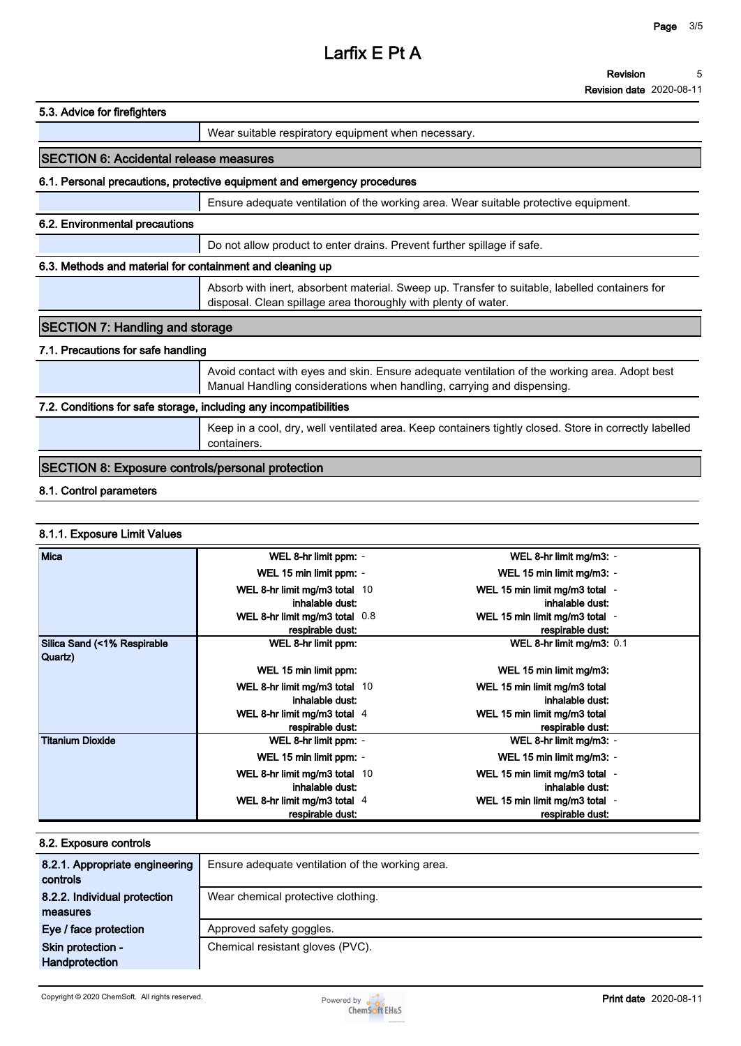| 5.3. Advice for firefighters                                      |                                                                                                                                                                         |  |
|-------------------------------------------------------------------|-------------------------------------------------------------------------------------------------------------------------------------------------------------------------|--|
|                                                                   | Wear suitable respiratory equipment when necessary.                                                                                                                     |  |
| <b>ISECTION 6: Accidental release measures</b>                    |                                                                                                                                                                         |  |
|                                                                   | 6.1. Personal precautions, protective equipment and emergency procedures                                                                                                |  |
|                                                                   | Ensure adequate ventilation of the working area. Wear suitable protective equipment.                                                                                    |  |
| 6.2. Environmental precautions                                    |                                                                                                                                                                         |  |
|                                                                   | Do not allow product to enter drains. Prevent further spillage if safe.                                                                                                 |  |
| 6.3. Methods and material for containment and cleaning up         |                                                                                                                                                                         |  |
|                                                                   | Absorb with inert, absorbent material. Sweep up. Transfer to suitable, labelled containers for<br>disposal. Clean spillage area thoroughly with plenty of water.        |  |
| <b>SECTION 7: Handling and storage</b>                            |                                                                                                                                                                         |  |
| 7.1. Precautions for safe handling                                |                                                                                                                                                                         |  |
|                                                                   | Avoid contact with eyes and skin. Ensure adequate ventilation of the working area. Adopt best<br>Manual Handling considerations when handling, carrying and dispensing. |  |
| 7.2. Conditions for safe storage, including any incompatibilities |                                                                                                                                                                         |  |
|                                                                   | Keep in a cool, dry, well ventilated area. Keep containers tightly closed. Store in correctly labelled<br>containers.                                                   |  |

# **SECTION 8: Exposure controls/personal protection**

# **8.1. Control parameters**

# **8.1.1. Exposure Limit Values**

| Mica                        | WEL 8-hr limit ppm: -          | WEL 8-hr limit mg/m3: -        |
|-----------------------------|--------------------------------|--------------------------------|
|                             | WEL 15 min limit ppm: -        | WEL 15 min limit mg/m3: -      |
|                             | WEL 8-hr limit mg/m3 total 10  | WEL 15 min limit mg/m3 total - |
|                             | inhalable dust:                | inhalable dust:                |
|                             | WEL 8-hr limit mg/m3 total 0.8 | WEL 15 min limit mg/m3 total - |
|                             | respirable dust:               | respirable dust:               |
| Silica Sand (<1% Respirable | WEL 8-hr limit ppm:            | WEL 8-hr limit mg/m3: 0.1      |
| Quartz)                     |                                |                                |
|                             | WEL 15 min limit ppm:          | WEL 15 min limit mg/m3:        |
|                             | WEL 8-hr limit mg/m3 total 10  | WEL 15 min limit mg/m3 total   |
|                             | inhalable dust:                | inhalable dust:                |
|                             | WEL 8-hr limit mg/m3 total 4   | WEL 15 min limit mg/m3 total   |
|                             | respirable dust:               | respirable dust:               |
| <b>Titanium Dioxide</b>     | WEL 8-hr limit ppm: -          | WEL 8-hr limit mg/m3: -        |
|                             | WEL 15 min limit ppm: -        | WEL 15 min limit mg/m3: -      |
|                             | WEL 8-hr limit mg/m3 total 10  | WEL 15 min limit mg/m3 total - |
|                             | inhalable dust:                | inhalable dust:                |
|                             | WEL 8-hr limit mg/m3 total 4   | WEL 15 min limit mg/m3 total - |
|                             | respirable dust:               | respirable dust:               |

| 8.2. Exposure controls                     |                                                  |  |  |  |
|--------------------------------------------|--------------------------------------------------|--|--|--|
| 8.2.1. Appropriate engineering<br>controls | Ensure adequate ventilation of the working area. |  |  |  |
| 8.2.2. Individual protection               | Wear chemical protective clothing.               |  |  |  |
| measures                                   |                                                  |  |  |  |
| Eye / face protection                      | Approved safety goggles.                         |  |  |  |
| Skin protection -<br><b>Handprotection</b> | Chemical resistant gloves (PVC).                 |  |  |  |
|                                            |                                                  |  |  |  |

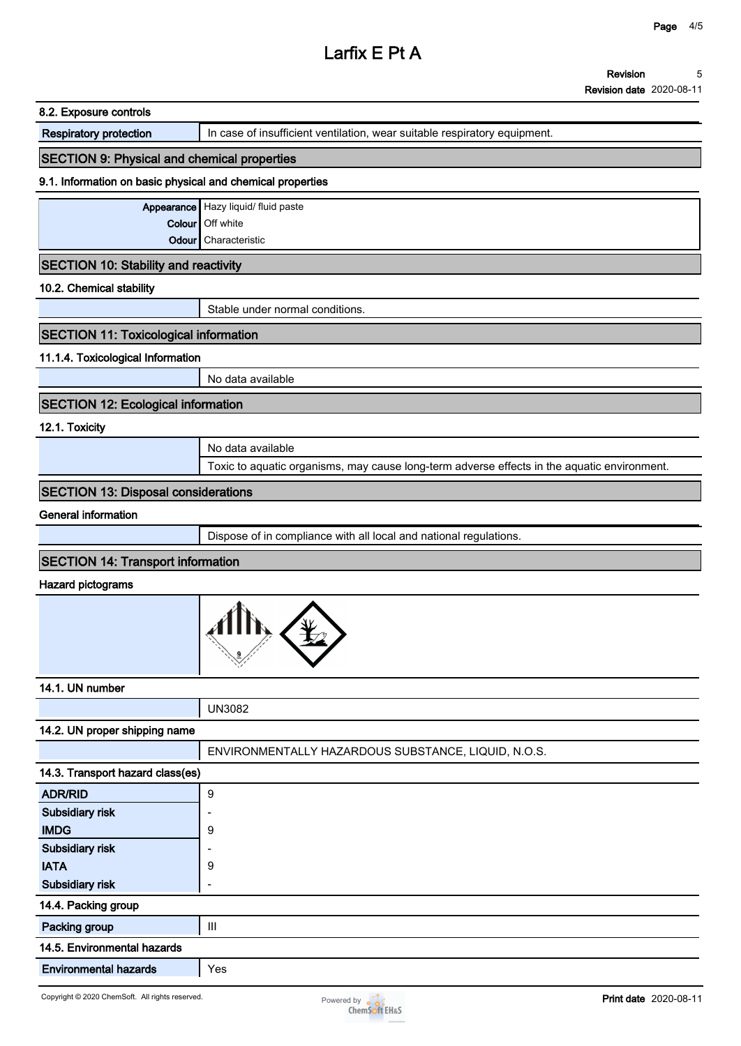| 8.2. Exposure controls                                     |                                                                                             |
|------------------------------------------------------------|---------------------------------------------------------------------------------------------|
| <b>Respiratory protection</b>                              | In case of insufficient ventilation, wear suitable respiratory equipment.                   |
| <b>SECTION 9: Physical and chemical properties</b>         |                                                                                             |
| 9.1. Information on basic physical and chemical properties |                                                                                             |
|                                                            | Appearance Hazy liquid/ fluid paste                                                         |
|                                                            | Colour   Off white                                                                          |
| Odour                                                      | Characteristic                                                                              |
| <b>SECTION 10: Stability and reactivity</b>                |                                                                                             |
| 10.2. Chemical stability                                   |                                                                                             |
|                                                            | Stable under normal conditions.                                                             |
| <b>SECTION 11: Toxicological information</b>               |                                                                                             |
| 11.1.4. Toxicological Information                          |                                                                                             |
|                                                            | No data available                                                                           |
| <b>SECTION 12: Ecological information</b>                  |                                                                                             |
| 12.1. Toxicity                                             |                                                                                             |
|                                                            | No data available                                                                           |
|                                                            | Toxic to aquatic organisms, may cause long-term adverse effects in the aquatic environment. |
| <b>SECTION 13: Disposal considerations</b>                 |                                                                                             |
| <b>General information</b>                                 |                                                                                             |
|                                                            | Dispose of in compliance with all local and national regulations.                           |
| <b>SECTION 14: Transport information</b>                   |                                                                                             |
| <b>Hazard pictograms</b>                                   |                                                                                             |
|                                                            |                                                                                             |
| 14.1. UN number                                            |                                                                                             |
|                                                            | <b>UN3082</b>                                                                               |
| 14.2. UN proper shipping name                              |                                                                                             |
|                                                            | ENVIRONMENTALLY HAZARDOUS SUBSTANCE, LIQUID, N.O.S.                                         |
| 14.3. Transport hazard class(es)                           |                                                                                             |
| <b>ADR/RID</b>                                             | $\boldsymbol{9}$                                                                            |
| Subsidiary risk                                            |                                                                                             |
| <b>IMDG</b>                                                | 9                                                                                           |
| Subsidiary risk                                            |                                                                                             |
| <b>IATA</b>                                                | 9                                                                                           |
| Subsidiary risk                                            | ۰                                                                                           |
| 14.4. Packing group                                        |                                                                                             |
|                                                            |                                                                                             |

**14.5. Environmental hazards**

**Environmental hazards Yes**

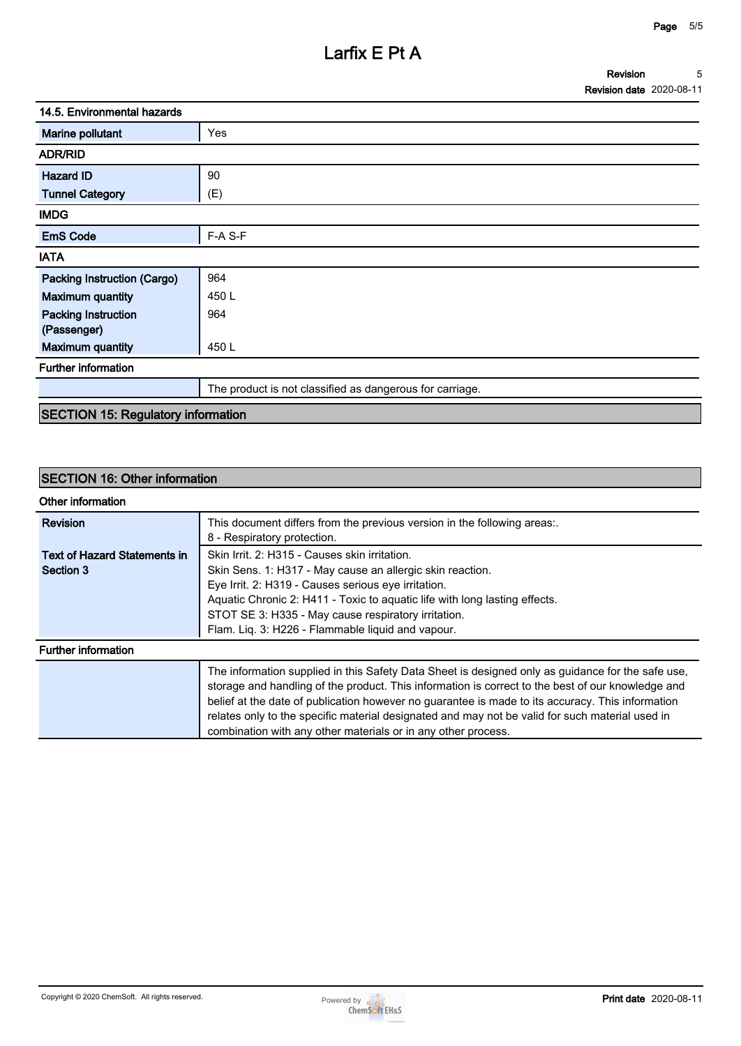| 14.5. Environmental hazards |                                                          |  |
|-----------------------------|----------------------------------------------------------|--|
| Marine pollutant            | Yes                                                      |  |
| <b>ADR/RID</b>              |                                                          |  |
| <b>Hazard ID</b>            | 90                                                       |  |
| <b>Tunnel Category</b>      | (E)                                                      |  |
| <b>IMDG</b>                 |                                                          |  |
| <b>EmS Code</b>             | F-A S-F                                                  |  |
| <b>IATA</b>                 |                                                          |  |
| Packing Instruction (Cargo) | 964                                                      |  |
| <b>Maximum quantity</b>     | 450 L                                                    |  |
| <b>Packing Instruction</b>  | 964                                                      |  |
| (Passenger)                 |                                                          |  |
| <b>Maximum quantity</b>     | 450L                                                     |  |
| <b>Further information</b>  |                                                          |  |
|                             | The product is not classified as dangerous for carriage. |  |
|                             |                                                          |  |

# **SECTION 15: Regulatory information**

# **SECTION 16: Other information**

| Other information                   |                                                                                                                                                                                                                                                                                                                                                                                                                                                                                |
|-------------------------------------|--------------------------------------------------------------------------------------------------------------------------------------------------------------------------------------------------------------------------------------------------------------------------------------------------------------------------------------------------------------------------------------------------------------------------------------------------------------------------------|
| <b>Revision</b>                     | This document differs from the previous version in the following areas:.<br>8 - Respiratory protection.                                                                                                                                                                                                                                                                                                                                                                        |
| <b>Text of Hazard Statements in</b> | Skin Irrit. 2: H315 - Causes skin irritation.                                                                                                                                                                                                                                                                                                                                                                                                                                  |
| Section 3                           | Skin Sens. 1: H317 - May cause an allergic skin reaction.                                                                                                                                                                                                                                                                                                                                                                                                                      |
|                                     | Eye Irrit. 2: H319 - Causes serious eye irritation.                                                                                                                                                                                                                                                                                                                                                                                                                            |
|                                     | Aquatic Chronic 2: H411 - Toxic to aquatic life with long lasting effects.                                                                                                                                                                                                                                                                                                                                                                                                     |
|                                     | STOT SE 3: H335 - May cause respiratory irritation.                                                                                                                                                                                                                                                                                                                                                                                                                            |
|                                     | Flam. Lig. 3: H226 - Flammable liquid and vapour.                                                                                                                                                                                                                                                                                                                                                                                                                              |
| <b>Further information</b>          |                                                                                                                                                                                                                                                                                                                                                                                                                                                                                |
|                                     | The information supplied in this Safety Data Sheet is designed only as guidance for the safe use,<br>storage and handling of the product. This information is correct to the best of our knowledge and<br>belief at the date of publication however no guarantee is made to its accuracy. This information<br>relates only to the specific material designated and may not be valid for such material used in<br>combination with any other materials or in any other process. |

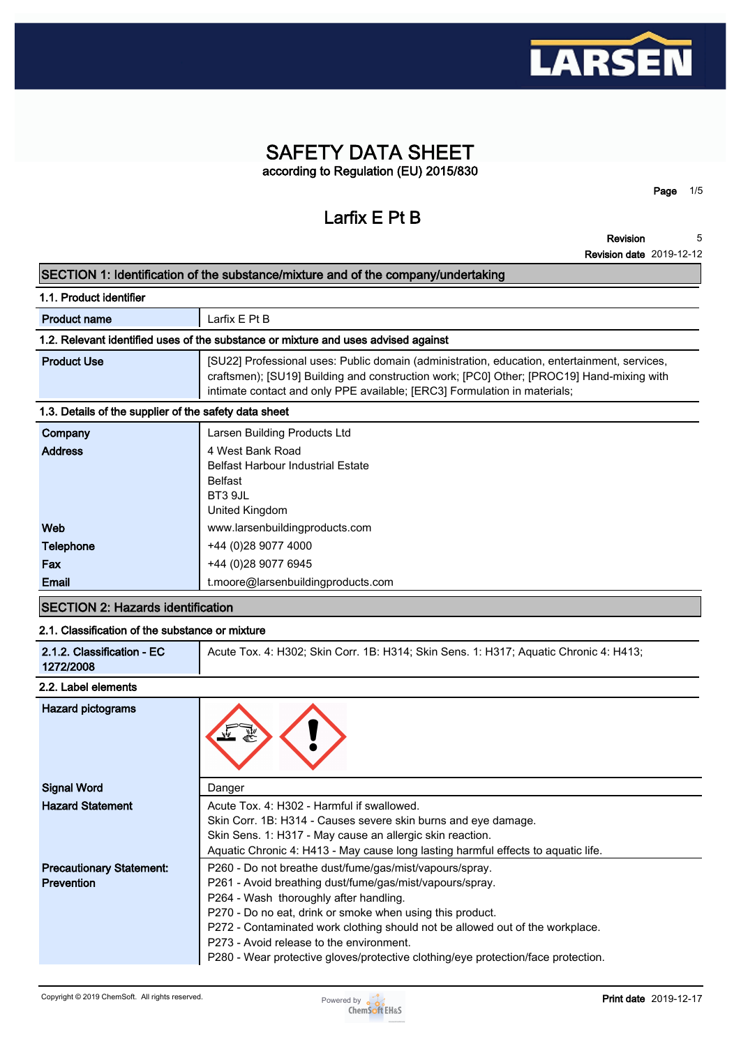

# **SAFETY DATA SHEET according to Regulation (EU) 2015/830**

**Larfix E Pt B**

**Revision 5**

**Page 1/5**

**Revision date 2019-12-12**

|                                                                                    | <b>Revision date 2019-12-12</b>                                                                                                                                                                                                                                        |  |  |
|------------------------------------------------------------------------------------|------------------------------------------------------------------------------------------------------------------------------------------------------------------------------------------------------------------------------------------------------------------------|--|--|
| SECTION 1: Identification of the substance/mixture and of the company/undertaking  |                                                                                                                                                                                                                                                                        |  |  |
| 1.1. Product identifier                                                            |                                                                                                                                                                                                                                                                        |  |  |
| <b>Product name</b>                                                                | Larfix E Pt B                                                                                                                                                                                                                                                          |  |  |
| 1.2. Relevant identified uses of the substance or mixture and uses advised against |                                                                                                                                                                                                                                                                        |  |  |
| <b>Product Use</b>                                                                 | [SU22] Professional uses: Public domain (administration, education, entertainment, services,<br>craftsmen); [SU19] Building and construction work; [PC0] Other; [PROC19] Hand-mixing with<br>intimate contact and only PPE available; [ERC3] Formulation in materials; |  |  |
| 1.3. Details of the supplier of the safety data sheet                              |                                                                                                                                                                                                                                                                        |  |  |
| Company                                                                            | Larsen Building Products Ltd                                                                                                                                                                                                                                           |  |  |
| <b>Address</b>                                                                     | 4 West Bank Road<br><b>Belfast Harbour Industrial Estate</b><br><b>Belfast</b><br><b>BT3 9.IL</b><br>United Kingdom                                                                                                                                                    |  |  |
| Web                                                                                | www.larsenbuildingproducts.com                                                                                                                                                                                                                                         |  |  |
| <b>Telephone</b>                                                                   | +44 (0)28 9077 4000                                                                                                                                                                                                                                                    |  |  |
|                                                                                    | +44 (0)28 9077 6945                                                                                                                                                                                                                                                    |  |  |
| Fax                                                                                |                                                                                                                                                                                                                                                                        |  |  |

#### **2.1. Classification of the substance or mixture**

| 2.1.2. Classification - EC<br>Acute Tox. 4: H302; Skin Corr. 1B: H314; Skin Sens. 1: H317; Aquatic Chronic 4: H413;<br>1272/2008 |
|----------------------------------------------------------------------------------------------------------------------------------|
|----------------------------------------------------------------------------------------------------------------------------------|

# **2.2. Label elements**

| <b>Hazard pictograms</b>                             |                                                                                                                                                                                                                                                                                                                                                                                                                                              |
|------------------------------------------------------|----------------------------------------------------------------------------------------------------------------------------------------------------------------------------------------------------------------------------------------------------------------------------------------------------------------------------------------------------------------------------------------------------------------------------------------------|
| <b>Signal Word</b>                                   | Danger                                                                                                                                                                                                                                                                                                                                                                                                                                       |
| <b>Hazard Statement</b>                              | Acute Tox. 4: H302 - Harmful if swallowed.<br>Skin Corr. 1B: H314 - Causes severe skin burns and eye damage.<br>Skin Sens. 1: H317 - May cause an allergic skin reaction.                                                                                                                                                                                                                                                                    |
|                                                      | Aquatic Chronic 4: H413 - May cause long lasting harmful effects to aquatic life.                                                                                                                                                                                                                                                                                                                                                            |
| <b>Precautionary Statement:</b><br><b>Prevention</b> | P260 - Do not breathe dust/fume/gas/mist/vapours/spray.<br>P261 - Avoid breathing dust/fume/gas/mist/vapours/spray.<br>P264 - Wash thoroughly after handling.<br>P270 - Do no eat, drink or smoke when using this product.<br>P272 - Contaminated work clothing should not be allowed out of the workplace.<br>P273 - Avoid release to the environment.<br>P280 - Wear protective gloves/protective clothing/eye protection/face protection. |

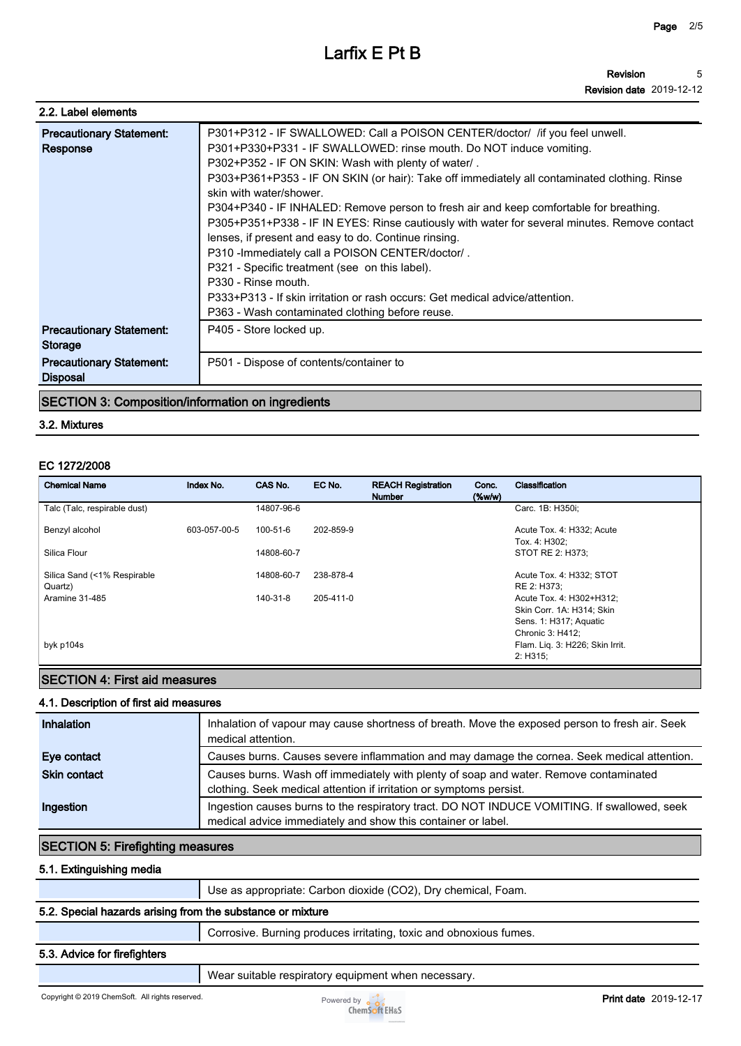| 2.2. Label elements                                |                                                                                                                                                                                                                                                                                                                                                                                                                                                                                                                                                                                                                                                                                                                                                                                                                                                         |
|----------------------------------------------------|---------------------------------------------------------------------------------------------------------------------------------------------------------------------------------------------------------------------------------------------------------------------------------------------------------------------------------------------------------------------------------------------------------------------------------------------------------------------------------------------------------------------------------------------------------------------------------------------------------------------------------------------------------------------------------------------------------------------------------------------------------------------------------------------------------------------------------------------------------|
| <b>Precautionary Statement:</b><br>Response        | P301+P312 - IF SWALLOWED: Call a POISON CENTER/doctor/ / if you feel unwell.<br>P301+P330+P331 - IF SWALLOWED: rinse mouth. Do NOT induce vomiting.<br>P302+P352 - IF ON SKIN: Wash with plenty of water/.<br>P303+P361+P353 - IF ON SKIN (or hair): Take off immediately all contaminated clothing. Rinse<br>skin with water/shower.<br>P304+P340 - IF INHALED: Remove person to fresh air and keep comfortable for breathing.<br>P305+P351+P338 - IF IN EYES: Rinse cautiously with water for several minutes. Remove contact<br>lenses, if present and easy to do. Continue rinsing.<br>P310 - Immediately call a POISON CENTER/doctor/.<br>P321 - Specific treatment (see on this label).<br>P330 - Rinse mouth.<br>P333+P313 - If skin irritation or rash occurs: Get medical advice/attention.<br>P363 - Wash contaminated clothing before reuse. |
| <b>Precautionary Statement:</b><br>Storage         | P405 - Store locked up.                                                                                                                                                                                                                                                                                                                                                                                                                                                                                                                                                                                                                                                                                                                                                                                                                                 |
| <b>Precautionary Statement:</b><br><b>Disposal</b> | P501 - Dispose of contents/container to                                                                                                                                                                                                                                                                                                                                                                                                                                                                                                                                                                                                                                                                                                                                                                                                                 |

# **SECTION 3: Composition/information on ingredients**

#### **3.2. Mixtures**

#### **EC 1272/2008**

| <b>Chemical Name</b>                   | Index No.    | CAS No.        | EC No.    | <b>REACH Registration</b><br><b>Number</b> | Conc.<br>$(\%w/w)$ | Classification                                                                                      |
|----------------------------------------|--------------|----------------|-----------|--------------------------------------------|--------------------|-----------------------------------------------------------------------------------------------------|
| Talc (Talc, respirable dust)           |              | 14807-96-6     |           |                                            |                    | Carc. 1B: H350i:                                                                                    |
| Benzyl alcohol                         | 603-057-00-5 | $100 - 51 - 6$ | 202-859-9 |                                            |                    | Acute Tox. 4: H332; Acute<br>Tox. 4: H302;                                                          |
| Silica Flour                           |              | 14808-60-7     |           |                                            |                    | STOT RE 2: H373;                                                                                    |
| Silica Sand (<1% Respirable<br>Quartz) |              | 14808-60-7     | 238-878-4 |                                            |                    | Acute Tox. 4: H332; STOT<br>RE 2: H373;                                                             |
| Aramine 31-485                         |              | 140-31-8       | 205-411-0 |                                            |                    | Acute Tox. 4: H302+H312;<br>Skin Corr. 1A: H314; Skin<br>Sens. 1: H317; Aquatic<br>Chronic 3: H412; |
| byk p104s                              |              |                |           |                                            |                    | Flam. Lig. 3: H226; Skin Irrit.<br>2: H315:                                                         |

# **SECTION 4: First aid measures**

#### **4.1. Description of first aid measures**

| Inhalation          | Inhalation of vapour may cause shortness of breath. Move the exposed person to fresh air. Seek<br>medical attention.                                         |
|---------------------|--------------------------------------------------------------------------------------------------------------------------------------------------------------|
| Eye contact         | Causes burns. Causes severe inflammation and may damage the cornea. Seek medical attention.                                                                  |
| <b>Skin contact</b> | Causes burns. Wash off immediately with plenty of soap and water. Remove contaminated<br>clothing. Seek medical attention if irritation or symptoms persist. |
| Ingestion           | Ingestion causes burns to the respiratory tract. DO NOT INDUCE VOMITING. If swallowed, seek<br>medical advice immediately and show this container or label.  |

# **SECTION 5: Firefighting measures**

# **5.1. Extinguishing media**

**Use as appropriate: Carbon dioxide (CO2), Dry chemical, Foam.**

# **5.2. Special hazards arising from the substance or mixture**

**Corrosive. Burning produces irritating, toxic and obnoxious fumes.**

#### **5.3. Advice for firefighters**

**Wear suitable respiratory equipment when necessary.**

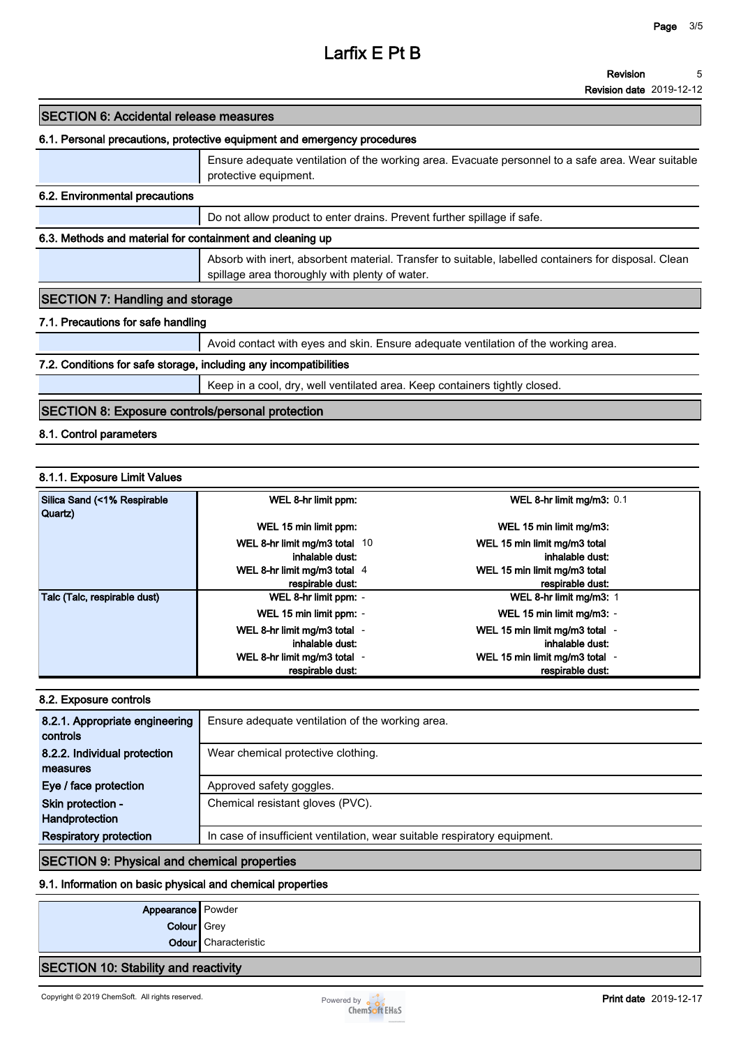#### **Revision 5**

**Revision date 2019-12-12**

# **SECTION 6: Accidental release measures**

#### **6.1. Personal precautions, protective equipment and emergency procedures**

|                                                           | Ensure adequate ventilation of the working area. Evacuate personnel to a safe area. Wear suitable<br>protective equipment.                             |  |  |  |
|-----------------------------------------------------------|--------------------------------------------------------------------------------------------------------------------------------------------------------|--|--|--|
| 6.2. Environmental precautions                            |                                                                                                                                                        |  |  |  |
|                                                           | Do not allow product to enter drains. Prevent further spillage if safe.                                                                                |  |  |  |
| 6.3. Methods and material for containment and cleaning up |                                                                                                                                                        |  |  |  |
|                                                           | Absorb with inert, absorbent material. Transfer to suitable, labelled containers for disposal. Clean<br>spillage area thoroughly with plenty of water. |  |  |  |
| <b>SECTION 7: Handling and storage</b>                    |                                                                                                                                                        |  |  |  |
| 7.1. Precautions for safe handling                        |                                                                                                                                                        |  |  |  |
|                                                           | Avoid contact with eyes and skin. Ensure adequate ventilation of the working area.                                                                     |  |  |  |

#### **7.2. Conditions for safe storage, including any incompatibilities**

**Keep in a cool, dry, well ventilated area. Keep containers tightly closed.**

# **SECTION 8: Exposure controls/personal protection**

**8.1. Control parameters**

## **8.1.1. Exposure Limit Values**

| Silica Sand (<1% Respirable<br>Quartz) | WEL 8-hr limit ppm:           | WEL 8-hr limit mg/m3: 0.1                                |
|----------------------------------------|-------------------------------|----------------------------------------------------------|
|                                        | WEL 15 min limit ppm:         | WEL 15 min limit mg/m3:                                  |
|                                        | WEL 8-hr limit mg/m3 total 10 | WEL 15 min limit mg/m3 total                             |
|                                        | inhalable dust:               | inhalable dust:                                          |
|                                        | WEL 8-hr limit mg/m3 total 4  | WEL 15 min limit mg/m3 total                             |
|                                        | respirable dust:              | respirable dust:                                         |
| Talc (Talc, respirable dust)           | WEL 8-hr limit ppm: -         | WEL 8-hr limit mg/m3: 1                                  |
|                                        | WEL 15 min limit ppm: -       | WEL 15 min limit mg/m3: -                                |
|                                        | WEL 8-hr limit mg/m3 total -  | WEL 15 min limit mg/m3 total -                           |
|                                        | inhalable dust:               | inhalable dust:                                          |
|                                        | WEL 8-hr limit mg/m3 total -  | WEL 15 min limit mg/m3 total<br>$\overline{\phantom{a}}$ |
|                                        | respirable dust:              | respirable dust:                                         |

#### **8.2. Exposure controls**

| 8.2.1. Appropriate engineering<br>controls | Ensure adequate ventilation of the working area.                          |
|--------------------------------------------|---------------------------------------------------------------------------|
| 8.2.2. Individual protection               | Wear chemical protective clothing.                                        |
| measures                                   |                                                                           |
| Eye / face protection                      | Approved safety goggles.                                                  |
| Skin protection -                          | Chemical resistant gloves (PVC).                                          |
| Handprotection                             |                                                                           |
| <b>Respiratory protection</b>              | In case of insufficient ventilation, wear suitable respiratory equipment. |

## **SECTION 9: Physical and chemical properties**

# **9.1. Information on basic physical and chemical properties**

| Appearance   Powder |                      |
|---------------------|----------------------|
| Colour Grey         |                      |
|                     | Odour Characteristic |
|                     |                      |

# **SECTION 10: Stability and reactivity**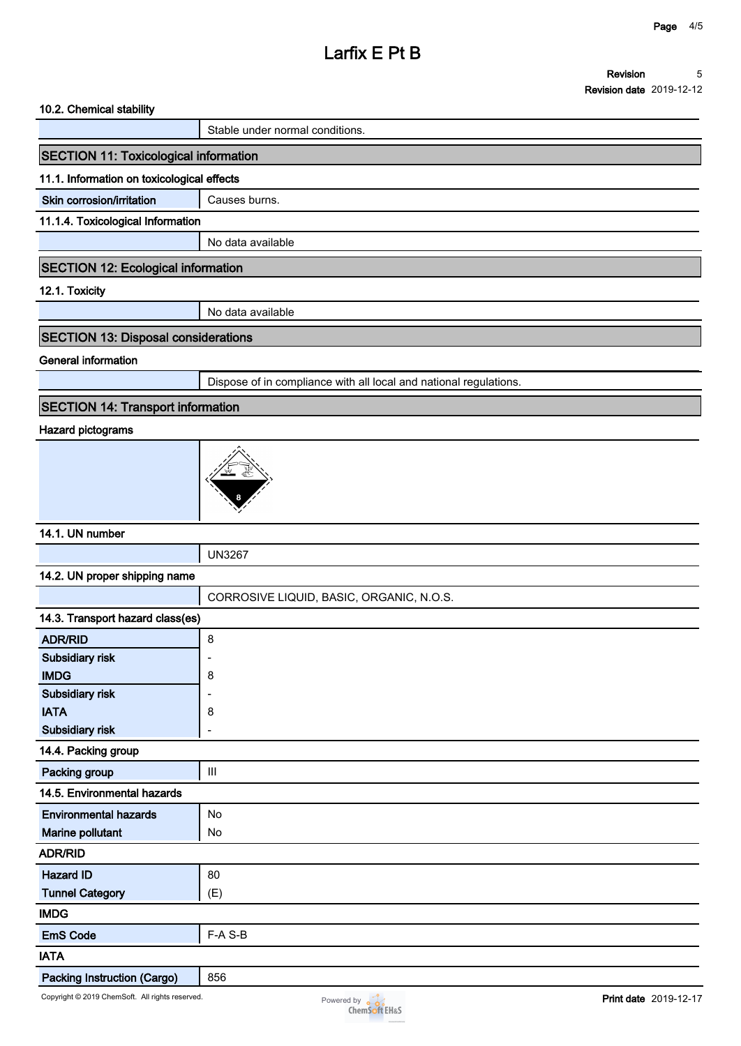# **Larfix E Pt B**

#### **10.2. Chemical stability**

**Stable under normal conditions.**

# **SECTION 11: Toxicological information**

#### **11.1. Information on toxicological effects**

**Skin corrosion/irritation** | Causes burns.

#### **11.1.4. Toxicological Information**

**No data available**

## **SECTION 12: Ecological information**

**12.1. Toxicity**

**No data available**

# **SECTION 13: Disposal considerations**

**General information**

**Dispose of in compliance with all local and national regulations.**

# **SECTION 14: Transport information**

## **Hazard pictograms**



# **14.1. UN number**

**UN3267**

#### **14.2. UN proper shipping name**

|                                  | CORROSIVE LIQUID, BASIC, ORGANIC, N.O.S. |  |  |  |
|----------------------------------|------------------------------------------|--|--|--|
| 14.3. Transport hazard class(es) |                                          |  |  |  |
| <b>ADR/RID</b>                   | 8                                        |  |  |  |
| Subsidiary risk                  |                                          |  |  |  |
| <b>IMDG</b>                      | 8                                        |  |  |  |
| Subsidiary risk                  | ۰                                        |  |  |  |
| <b>IATA</b>                      | 8                                        |  |  |  |
| Subsidiary risk                  | ۰                                        |  |  |  |
| 14.4. Packing group              |                                          |  |  |  |
| Packing group                    | III                                      |  |  |  |
| 14.5. Environmental hazards      |                                          |  |  |  |
| <b>Environmental hazards</b>     | <b>No</b>                                |  |  |  |
| Marine pollutant                 | No                                       |  |  |  |
| <b>ADR/RID</b>                   |                                          |  |  |  |
| <b>Hazard ID</b>                 | 80                                       |  |  |  |
| <b>Tunnel Category</b>           | (E)                                      |  |  |  |
| <b>IMDG</b>                      |                                          |  |  |  |
| <b>EmS Code</b>                  | F-A S-B                                  |  |  |  |
| <b>IATA</b>                      |                                          |  |  |  |
| Dooking Instruction (Coran)      | OEC                                      |  |  |  |

# **Packing Instruction (Cargo)** | 856